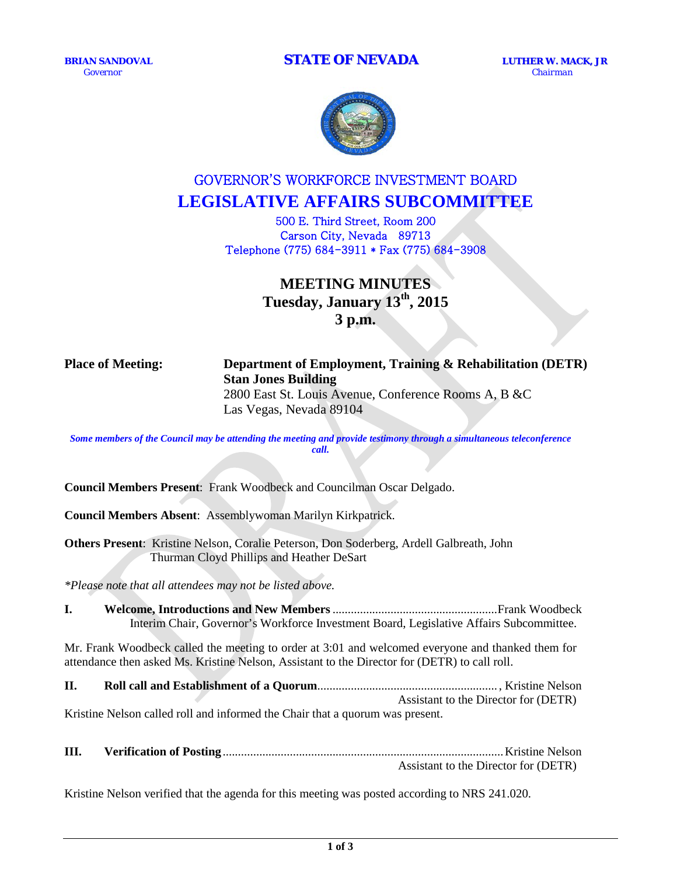*Governor Chairman*



# GOVERNOR'S WORKFORCE INVESTMENT BOARD **LEGISLATIVE AFFAIRS SUBCOMMITTEE**

500 E. Third Street, Room 200 Carson City, Nevada 89713 Telephone (775) 684-3911 \* Fax (775) 684-3908

> **MEETING MINUTES Tuesday, January 13th, 2015 3 p.m.**

## **Place of Meeting: Department of Employment, Training & Rehabilitation (DETR) Stan Jones Building**

2800 East St. Louis Avenue, Conference Rooms A, B &C Las Vegas, Nevada 89104

*Some members of the Council may be attending the meeting and provide testimony through a simultaneous teleconference call.*

**Council Members Present**: Frank Woodbeck and Councilman Oscar Delgado.

**Council Members Absent**: Assemblywoman Marilyn Kirkpatrick.

**Others Present**: Kristine Nelson, Coralie Peterson, Don Soderberg, Ardell Galbreath, John Thurman Cloyd Phillips and Heather DeSart

*\*Please note that all attendees may not be listed above.*

**I. Welcome, Introductions and New Members**......................................................Frank Woodbeck Interim Chair, Governor's Workforce Investment Board, Legislative Affairs Subcommittee.

Mr. Frank Woodbeck called the meeting to order at 3:01 and welcomed everyone and thanked them for attendance then asked Ms. Kristine Nelson, Assistant to the Director for (DETR) to call roll.

**II. Roll call and Establishment of a Quorum**........................................................... , Kristine Nelson Assistant to the Director for (DETR) Kristine Nelson called roll and informed the Chair that a quorum was present.

**III. Verification of Posting**............................................................................................Kristine Nelson Assistant to the Director for (DETR)

Kristine Nelson verified that the agenda for this meeting was posted according to NRS 241.020.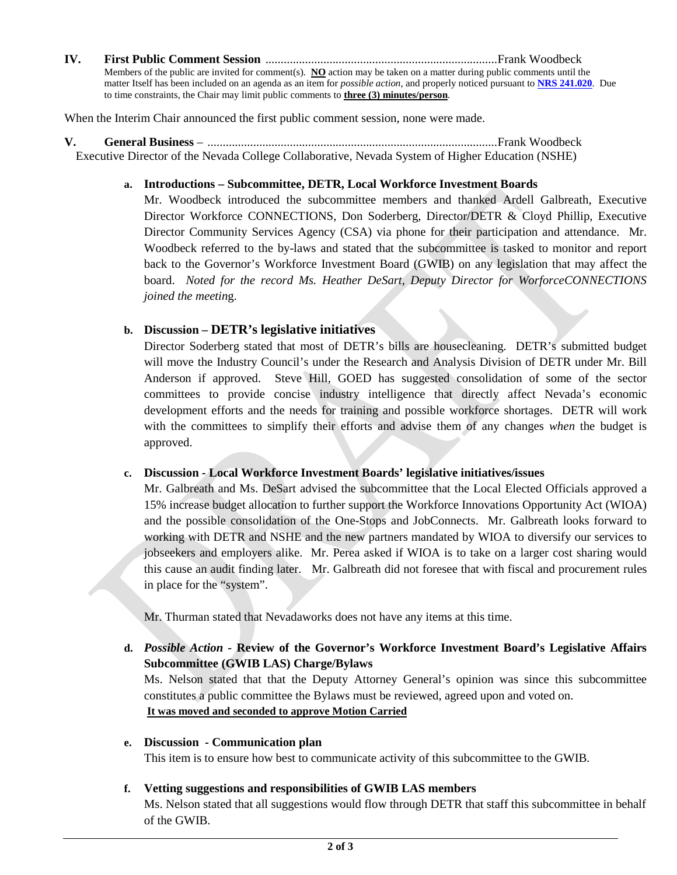**IV. First Public Comment Session** ............................................................................Frank Woodbeck Members of the public are invited for comment(s). **NO** action may be taken on a matter during public comments until the matter Itself has been included on an agenda as an item for *possible action*, and properly noticed pursuant to **[NRS 241.020](http://www.leg.state.nv.us/NRS/NRS-241.html#NRS241Sec020)**. Due to time constraints, the Chair may limit public comments to **three (3) minutes/person**.

When the Interim Chair announced the first public comment session, none were made.

**V. General Business** – ...............................................................................................Frank Woodbeck Executive Director of the Nevada College Collaborative, Nevada System of Higher Education (NSHE)

#### **a. Introductions – Subcommittee, DETR, Local Workforce Investment Boards**

Mr. Woodbeck introduced the subcommittee members and thanked Ardell Galbreath, Executive Director Workforce CONNECTIONS, Don Soderberg, Director/DETR & Cloyd Phillip, Executive Director Community Services Agency (CSA) via phone for their participation and attendance. Mr. Woodbeck referred to the by-laws and stated that the subcommittee is tasked to monitor and report back to the Governor's Workforce Investment Board (GWIB) on any legislation that may affect the board. *Noted for the record Ms. Heather DeSart, Deputy Director for WorforceCONNECTIONS joined the meetin*g.

### **b. Discussion – DETR's legislative initiatives**

Director Soderberg stated that most of DETR's bills are housecleaning. DETR's submitted budget will move the Industry Council's under the Research and Analysis Division of DETR under Mr. Bill Anderson if approved. Steve Hill, GOED has suggested consolidation of some of the sector committees to provide concise industry intelligence that directly affect Nevada's economic development efforts and the needs for training and possible workforce shortages. DETR will work with the committees to simplify their efforts and advise them of any changes *when* the budget is approved.

### **c. Discussion - Local Workforce Investment Boards' legislative initiatives/issues**

Mr. Galbreath and Ms. DeSart advised the subcommittee that the Local Elected Officials approved a 15% increase budget allocation to further support the Workforce Innovations Opportunity Act (WIOA) and the possible consolidation of the One-Stops and JobConnects. Mr. Galbreath looks forward to working with DETR and NSHE and the new partners mandated by WIOA to diversify our services to jobseekers and employers alike. Mr. Perea asked if WIOA is to take on a larger cost sharing would this cause an audit finding later. Mr. Galbreath did not foresee that with fiscal and procurement rules in place for the "system".

Mr. Thurman stated that Nevadaworks does not have any items at this time.

**d.** *Possible Action -* **Review of the Governor's Workforce Investment Board's Legislative Affairs Subcommittee (GWIB LAS) Charge/Bylaws**

Ms. Nelson stated that that the Deputy Attorney General's opinion was since this subcommittee constitutes a public committee the Bylaws must be reviewed, agreed upon and voted on. **It was moved and seconded to approve Motion Carried**

**e. Discussion - Communication plan**

This item is to ensure how best to communicate activity of this subcommittee to the GWIB.

### **f. Vetting suggestions and responsibilities of GWIB LAS members**

Ms. Nelson stated that all suggestions would flow through DETR that staff this subcommittee in behalf of the GWIB.